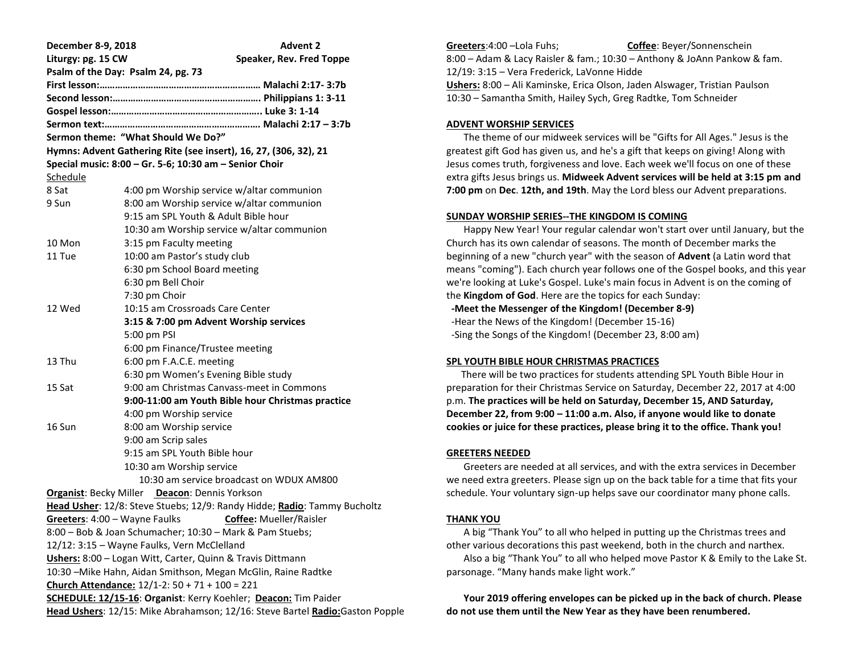| December 8-9, 2018                                                            | <b>Advent 2</b>                                        |
|-------------------------------------------------------------------------------|--------------------------------------------------------|
| Liturgy: pg. 15 CW                                                            | Speaker, Rev. Fred Toppe                               |
| Psalm of the Day: Psalm 24, pg. 73                                            |                                                        |
|                                                                               |                                                        |
|                                                                               |                                                        |
|                                                                               |                                                        |
|                                                                               |                                                        |
| Sermon theme: "What Should We Do?"                                            |                                                        |
| Hymns: Advent Gathering Rite (see insert), 16, 27, (306, 32), 21              |                                                        |
|                                                                               | Special music: 8:00 - Gr. 5-6; 10:30 am - Senior Choir |
| Schedule                                                                      |                                                        |
| 8 Sat                                                                         | 4:00 pm Worship service w/altar communion              |
| 9 Sun                                                                         | 8:00 am Worship service w/altar communion              |
|                                                                               | 9:15 am SPL Youth & Adult Bible hour                   |
|                                                                               | 10:30 am Worship service w/altar communion             |
| 10 Mon                                                                        | 3:15 pm Faculty meeting                                |
| 11 Tue                                                                        | 10:00 am Pastor's study club                           |
|                                                                               | 6:30 pm School Board meeting                           |
|                                                                               | 6:30 pm Bell Choir                                     |
|                                                                               | 7:30 pm Choir                                          |
| 12 Wed                                                                        | 10:15 am Crossroads Care Center                        |
|                                                                               | 3:15 & 7:00 pm Advent Worship services                 |
|                                                                               | 5:00 pm PSI                                            |
|                                                                               | 6:00 pm Finance/Trustee meeting                        |
| 13 Thu                                                                        | 6:00 pm F.A.C.E. meeting                               |
|                                                                               | 6:30 pm Women's Evening Bible study                    |
| 15 Sat                                                                        | 9:00 am Christmas Canvass-meet in Commons              |
|                                                                               | 9:00-11:00 am Youth Bible hour Christmas practice      |
|                                                                               | 4:00 pm Worship service                                |
| 16 Sun                                                                        | 8:00 am Worship service                                |
|                                                                               | 9:00 am Scrip sales                                    |
|                                                                               | 9:15 am SPL Youth Bible hour                           |
|                                                                               | 10:30 am Worship service                               |
|                                                                               | 10:30 am service broadcast on WDUX AM800               |
| <b>Organist: Becky Miller Deacon: Dennis Yorkson</b>                          |                                                        |
| Head Usher: 12/8: Steve Stuebs; 12/9: Randy Hidde; Radio: Tammy Bucholtz      |                                                        |
| Greeters: 4:00 - Wayne Faulks Coffee: Mueller/Raisler                         |                                                        |
| 8:00 – Bob & Joan Schumacher; 10:30 – Mark & Pam Stuebs;                      |                                                        |
| 12/12: 3:15 - Wayne Faulks, Vern McClelland                                   |                                                        |
| Ushers: 8:00 - Logan Witt, Carter, Quinn & Travis Dittmann                    |                                                        |
| 10:30 - Mike Hahn, Aidan Smithson, Megan McGlin, Raine Radtke                 |                                                        |
| Church Attendance: 12/1-2: 50 + 71 + 100 = 221                                |                                                        |
| SCHEDULE: 12/15-16: Organist: Kerry Koehler; Deacon: Tim Paider               |                                                        |
| Head Ushers: 12/15: Mike Abrahamson; 12/16: Steve Bartel Radio: Gaston Popple |                                                        |

**Greeters**:4:00 –Lola Fuhs; **Coffee**: Beyer/Sonnenschein 8:00 – Adam & Lacy Raisler & fam.; 10:30 – Anthony & JoAnn Pankow & fam. 12/19: 3:15 – Vera Frederick, LaVonne Hidde **Ushers:** 8:00 – Ali Kaminske, Erica Olson, Jaden Alswager, Tristian Paulson 10:30 – Samantha Smith, Hailey Sych, Greg Radtke, Tom Schneider

#### **ADVENT WORSHIP SERVICES**

 The theme of our midweek services will be "Gifts for All Ages." Jesus is the greatest gift God has given us, and he's a gift that keeps on giving! Along with Jesus comes truth, forgiveness and love. Each week we'll focus on one of these extra gifts Jesus brings us. **Midweek Advent services will be held at 3:15 pm and 7:00 pm** on **Dec**. **12th, and 19th**. May the Lord bless our Advent preparations.

# **SUNDAY WORSHIP SERIES--THE KINGDOM IS COMING**

 Happy New Year! Your regular calendar won't start over until January, but the Church has its own calendar of seasons. The month of December marks the beginning of a new "church year" with the season of **Advent** (a Latin word that means "coming"). Each church year follows one of the Gospel books, and this year we're looking at Luke's Gospel. Luke's main focus in Advent is on the coming of the **Kingdom of God**. Here are the topics for each Sunday:

 **-Meet the Messenger of the Kingdom! (December 8-9)**

 -Hear the News of the Kingdom! (December 15-16) -Sing the Songs of the Kingdom! (December 23, 8:00 am)

# **SPL YOUTH BIBLE HOUR CHRISTMAS PRACTICES**

 There will be two practices for students attending SPL Youth Bible Hour in preparation for their Christmas Service on Saturday, December 22, 2017 at 4:00 p.m. **The practices will be held on Saturday, December 15, AND Saturday, December 22, from 9:00 – 11:00 a.m. Also, if anyone would like to donate cookies or juice for these practices, please bring it to the office. Thank you!**

# **GREETERS NEEDED**

 Greeters are needed at all services, and with the extra services in December we need extra greeters. Please sign up on the back table for a time that fits your schedule. Your voluntary sign-up helps save our coordinator many phone calls.

# **THANK YOU**

 A big "Thank You" to all who helped in putting up the Christmas trees and other various decorations this past weekend, both in the church and narthex. Also a big "Thank You" to all who helped move Pastor K & Emily to the Lake St. parsonage. "Many hands make light work."

 **Your 2019 offering envelopes can be picked up in the back of church. Please do not use them until the New Year as they have been renumbered.**